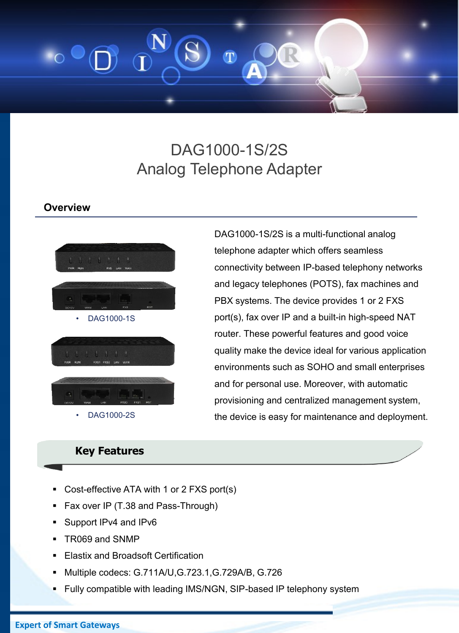

# DAG1000-1S/2S Analog Telephone Adapter

### **Overview**



## **Key Features**

- Cost-effective ATA with 1 or 2 FXS port(s)
- Fax over IP (T.38 and Pass-Through)
- Support IPv4 and IPv6
- TR069 and SNMP
- Elastix and Broadsoft Certification
- Multiple codecs: G.711A/U,G.723.1,G.729A/B, G.726
- Fully compatible with leading IMS/NGN, SIP-based IP telephony system

**Expert of Smart Gateways**

DAG1000-1S/2S is a multi-functional analog telephone adapter which offers seamless connectivity between IP-based telephony networks and legacy telephones (POTS), fax machines and PBX systems. The device provides 1 or 2 FXS port(s), fax over IP and a built-in high-speed NAT router. These powerful features and good voice quality make the device ideal for various application environments such as SOHO and small enterprises and for personal use. Moreover, with automatic provisioning and centralized management system, the device is easy for maintenance and deployment.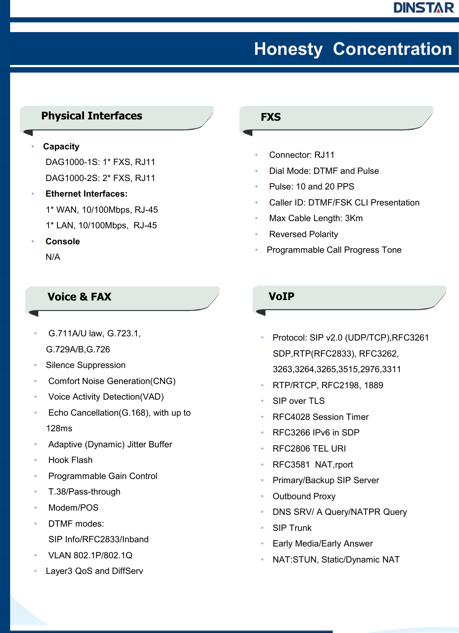# **Honesty Concentration**

## **Physical Interfaces**

#### • **Capacity**

DAG1000-1S: 1\* FXS, RJ11 DAG1000-2S: 2\* FXS, RJ11

- **Ethernet Interfaces:**  1\* WAN, 10/100Mbps, RJ-45 1\* LAN, 10/100Mbps, RJ-45
- **Console** N/A

## **Voice & FAX**

- G.711A/U law, G.723.1, G.729A/B,G.726
- Silence Suppression
- Comfort Noise Generation(CNG)
- Voice Activity Detection(VAD)
- Echo Cancellation(G.168), with up to 128ms
- Adaptive (Dynamic) Jitter Buffer
- Hook Flash
- Programmable Gain Control
- T.38/Pass-through
- Modem/POS
- DTMF modes:
	- SIP Info/RFC2833/Inband
- VLAN 802.1P/802.1Q
- Layer3 QoS and DiffServ

#### **FXS**

- Connector: RJ11
- Dial Mode: DTMF and Pulse
- Pulse: 10 and 20 PPS
- Caller ID: DTMF/FSK CLI Presentation
- Max Cable Length: 3Km
- Reversed Polarity
- Programmable Call Progress Tone

### **VoIP**

- Protocol: SIP v2.0 (UDP/TCP),RFC3261 SDP,RTP(RFC2833), RFC3262, 3263,3264,3265,3515,2976,3311
- RTP/RTCP, RFC2198, 1889
- SIP over TLS
- RFC4028 Session Timer
- RFC3266 IPv6 in SDP
- RFC2806 TEL URI
- RFC3581 NAT,rport
- Primary/Backup SIP Server
- Outbound Proxy
- DNS SRV/ A Query/NATPR Query
- **SIP Trunk**
- Early Media/Early Answer
- NAT:STUN, Static/Dynamic NAT